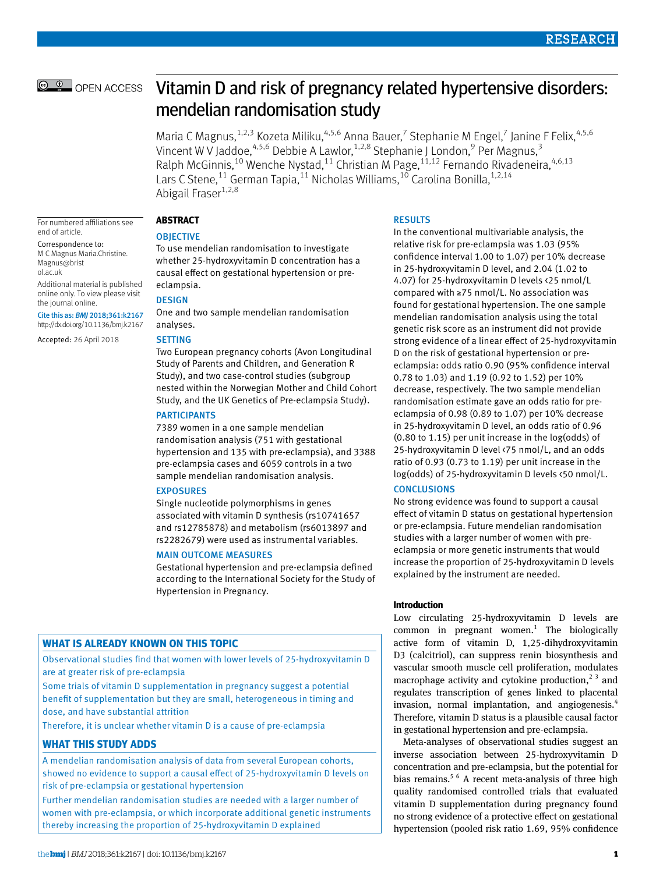# © © OPEN ACCESS

# Vitamin D and risk of pregnancy related hypertensive disorders: mendelian randomisation study

Maria C Magnus, <sup>1,2,3</sup> Kozeta Miliku, <sup>4,5,6</sup> Anna Bauer, <sup>7</sup> Stephanie M Engel, <sup>7</sup> Janine F Felix, <sup>4,5,6</sup> Vincent W V Jaddoe,<sup>4,5,6</sup> Debbie A Lawlor,<sup>1,2,8</sup> Stephanie J London,<sup>9</sup> Per Magnus,<sup>3</sup> Ralph McGinnis,<sup>10</sup> Wenche Nystad,<sup>11</sup> Christian M Page,<sup>11,12</sup> Fernando Rivadeneira,<sup>4,6,13</sup> Lars C Stene,<sup>11</sup> German Tapia,<sup>11</sup> Nicholas Williams,<sup>10</sup> Carolina Bonilla,<sup>1,2,14</sup> Abigail Fraser $1,2,8$ 

For numbered affiliations see end of article.

Correspondence to: M C Magnus [Maria.Christine.](mailto:Maria.Christine.Magnus@bristol.ac.uk)

[Magnus@brist](mailto:Maria.Christine.Magnus@bristol.ac.uk) [ol.ac.uk](mailto:Maria.Christine.Magnus@bristol.ac.uk)

Additional material is published online only. To view please visit the journal online.

Cite this as: *BMJ* 2018;361:k2167 http://dx.doi.org/10.1136/bmj.k2167

Accepted: 26 April 2018

#### **Abstract**

#### **OBJECTIVE**

To use mendelian randomisation to investigate whether 25-hydroxyvitamin D concentration has a causal effect on gestational hypertension or preeclampsia.

#### **DESIGN**

One and two sample mendelian randomisation analyses.

#### **SETTING**

Two European pregnancy cohorts (Avon Longitudinal Study of Parents and Children, and Generation R Study), and two case-control studies (subgroup nested within the Norwegian Mother and Child Cohort Study, and the UK Genetics of Pre-eclampsia Study).

#### **PARTICIPANTS**

7389 women in a one sample mendelian randomisation analysis (751 with gestational hypertension and 135 with pre-eclampsia), and 3388 pre-eclampsia cases and 6059 controls in a two sample mendelian randomisation analysis.

#### **EXPOSURES**

Single nucleotide polymorphisms in genes associated with vitamin D synthesis (rs10741657 and rs12785878) and metabolism (rs6013897 and rs2282679) were used as instrumental variables.

#### Main outcome measures

Gestational hypertension and pre-eclampsia defined according to the International Society for the Study of Hypertension in Pregnancy.

## **What is already known on this topic**

Observational studies find that women with lower levels of 25-hydroxyvitamin D are at greater risk of pre-eclampsia

Some trials of vitamin D supplementation in pregnancy suggest a potential benefit of supplementation but they are small, heterogeneous in timing and dose, and have substantial attrition

Therefore, it is unclear whether vitamin D is a cause of pre-eclampsia

#### **What this study adds**

A mendelian randomisation analysis of data from several European cohorts, showed no evidence to support a causal effect of 25-hydroxyvitamin D levels on risk of pre-eclampsia or gestational hypertension

Further mendelian randomisation studies are needed with a larger number of women with pre-eclampsia, or which incorporate additional genetic instruments thereby increasing the proportion of 25-hydroxyvitamin D explained

#### **RESULTS**

In the conventional multivariable analysis, the relative risk for pre-eclampsia was 1.03 (95% confidence interval 1.00 to 1.07) per 10% decrease in 25-hydroxyvitamin D level, and 2.04 (1.02 to 4.07) for 25-hydroxyvitamin D levels <25 nmol/L compared with ≥75 nmol/L. No association was found for gestational hypertension. The one sample mendelian randomisation analysis using the total genetic risk score as an instrument did not provide strong evidence of a linear effect of 25-hydroxyvitamin D on the risk of gestational hypertension or preeclampsia: odds ratio 0.90 (95% confidence interval 0.78 to 1.03) and 1.19 (0.92 to 1.52) per 10% decrease, respectively. The two sample mendelian randomisation estimate gave an odds ratio for preeclampsia of 0.98 (0.89 to 1.07) per 10% decrease in 25-hydroxyvitamin D level, an odds ratio of 0.96 (0.80 to 1.15) per unit increase in the log(odds) of 25-hydroxyvitamin D level <75 nmol/L, and an odds ratio of 0.93 (0.73 to 1.19) per unit increase in the log(odds) of 25-hydroxyvitamin D levels <50 nmol/L.

## **CONCLUSIONS**

No strong evidence was found to support a causal effect of vitamin D status on gestational hypertension or pre-eclampsia. Future mendelian randomisation studies with a larger number of women with preeclampsia or more genetic instruments that would increase the proportion of 25-hydroxyvitamin D levels explained by the instrument are needed.

## **Introduction**

Low circulating 25-hydroxyvitamin D levels are common in pregnant women. $<sup>1</sup>$  The biologically</sup> active form of vitamin D, 1,25-dihydroxyvitamin D3 (calcitriol), can suppress renin biosynthesis and vascular smooth muscle cell proliferation, modulates macrophage activity and cytokine production,<sup>23</sup> and regulates transcription of genes linked to placental invasion, normal implantation, and angiogenesis.<sup>4</sup> Therefore, vitamin D status is a plausible causal factor in gestational hypertension and pre-eclampsia.

Meta-analyses of observational studies suggest an inverse association between 25-hydroxyvitamin D concentration and pre-eclampsia, but the potential for bias remains.<sup>5 6</sup> A recent meta-analysis of three high quality randomised controlled trials that evaluated vitamin D supplementation during pregnancy found no strong evidence of a protective effect on gestational hypertension (pooled risk ratio 1.69, 95% confidence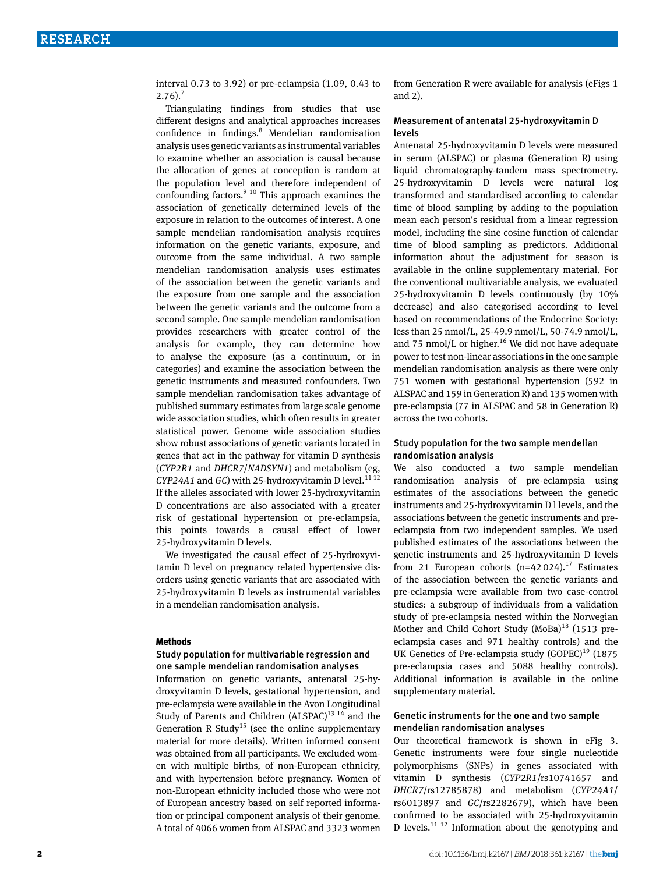interval 0.73 to 3.92) or pre-eclampsia (1.09, 0.43 to  $2.76$ ).<sup>7</sup>

Triangulating findings from studies that use different designs and analytical approaches increases confidence in findings.<sup>8</sup> Mendelian randomisation analysis uses genetic variants as instrumental variables to examine whether an association is causal because the allocation of genes at conception is random at the population level and therefore independent of confounding factors. $9^{10}$  This approach examines the association of genetically determined levels of the exposure in relation to the outcomes of interest. A one sample mendelian randomisation analysis requires information on the genetic variants, exposure, and outcome from the same individual. A two sample mendelian randomisation analysis uses estimates of the association between the genetic variants and the exposure from one sample and the association between the genetic variants and the outcome from a second sample. One sample mendelian randomisation provides researchers with greater control of the analysis—for example, they can determine how to analyse the exposure (as a continuum, or in categories) and examine the association between the genetic instruments and measured confounders. Two sample mendelian randomisation takes advantage of published summary estimates from large scale genome wide association studies, which often results in greater statistical power. Genome wide association studies show robust associations of genetic variants located in genes that act in the pathway for vitamin D synthesis (*CYP2R1* and *DHCR7*/*NADSYN1*) and metabolism (eg, *CYP24A1* and *GC*) with 25-hydroxyvitamin D level.<sup>1112</sup> If the alleles associated with lower 25-hydroxyvitamin D concentrations are also associated with a greater risk of gestational hypertension or pre-eclampsia, this points towards a causal effect of lower 25-hydroxyvitamin D levels.

We investigated the causal effect of 25-hydroxyvitamin D level on pregnancy related hypertensive disorders using genetic variants that are associated with 25-hydroxyvitamin D levels as instrumental variables in a mendelian randomisation analysis.

#### **Methods**

## Study population for multivariable regression and one sample mendelian randomisation analyses

Information on genetic variants, antenatal 25-hydroxyvitamin D levels, gestational hypertension, and pre-eclampsia were available in the Avon Longitudinal Study of Parents and Children  $(ALSPAC)^{13}$ <sup>14</sup> and the Generation R Study<sup>15</sup> (see the online supplementary material for more details). Written informed consent was obtained from all participants. We excluded women with multiple births, of non-European ethnicity, and with hypertension before pregnancy. Women of non-European ethnicity included those who were not of European ancestry based on self reported information or principal component analysis of their genome. A total of 4066 women from ALSPAC and 3323 women

from Generation R were available for analysis (eFigs 1 and 2).

#### Measurement of antenatal 25-hydroxyvitamin D levels

Antenatal 25-hydroxyvitamin D levels were measured in serum (ALSPAC) or plasma (Generation R) using liquid chromatography-tandem mass spectrometry. 25-hydroxyvitamin D levels were natural log transformed and standardised according to calendar time of blood sampling by adding to the population mean each person's residual from a linear regression model, including the sine cosine function of calendar time of blood sampling as predictors. Additional information about the adjustment for season is available in the online supplementary material. For the conventional multivariable analysis, we evaluated 25-hydroxyvitamin D levels continuously (by 10% decrease) and also categorised according to level based on recommendations of the Endocrine Society: less than 25 nmol/L, 25-49.9 nmol/L, 50-74.9 nmol/L, and 75 nmol/L or higher.<sup>16</sup> We did not have adequate power to test non-linear associations in the one sample mendelian randomisation analysis as there were only 751 women with gestational hypertension (592 in ALSPAC and 159 in Generation R) and 135 women with pre-eclampsia (77 in ALSPAC and 58 in Generation R) across the two cohorts.

## Study population for the two sample mendelian randomisation analysis

We also conducted a two sample mendelian randomisation analysis of pre-eclampsia using estimates of the associations between the genetic instruments and 25-hydroxyvitamin D l levels, and the associations between the genetic instruments and preeclampsia from two independent samples. We used published estimates of the associations between the genetic instruments and 25-hydroxyvitamin D levels from 21 European cohorts  $(n=42024).$ <sup>17</sup> Estimates of the association between the genetic variants and pre-eclampsia were available from two case-control studies: a subgroup of individuals from a validation study of pre-eclampsia nested within the Norwegian Mother and Child Cohort Study  $(MoBa)^{18}$  (1513 preeclampsia cases and 971 healthy controls) and the UK Genetics of Pre-eclampsia study  $(GOPEC)^{19}$  (1875 pre-eclampsia cases and 5088 healthy controls). Additional information is available in the online supplementary material.

## Genetic instruments for the one and two sample mendelian randomisation analyses

Our theoretical framework is shown in eFig 3. Genetic instruments were four single nucleotide polymorphisms (SNPs) in genes associated with vitamin D synthesis (*CYP2R1*/rs10741657 and *DHCR7*/rs12785878) and metabolism (*CYP24A1*/ rs6013897 and *GC*/rs2282679), which have been confirmed to be associated with 25-hydroxyvitamin D levels. $^{11}$  <sup>12</sup> Information about the genotyping and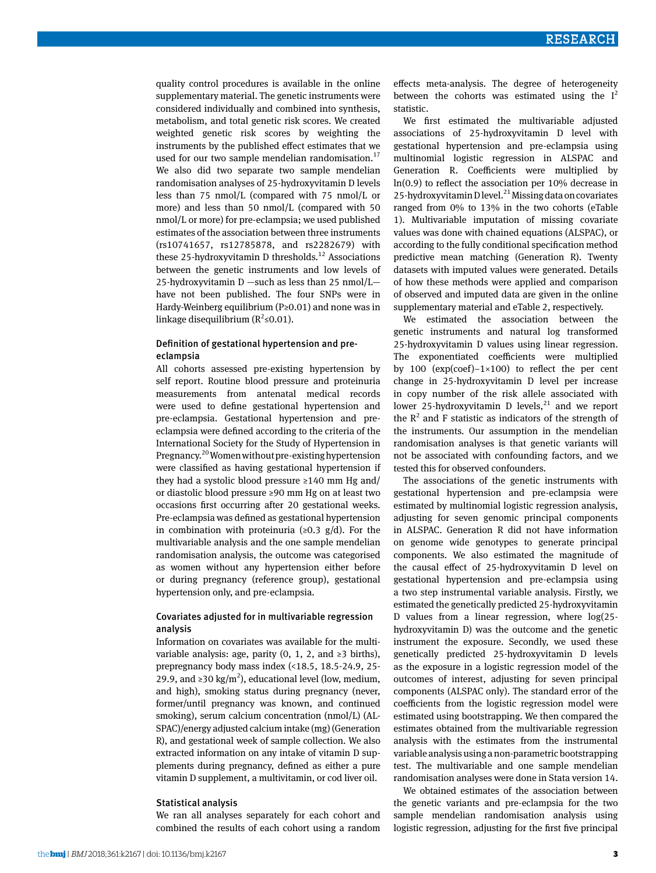quality control procedures is available in the online supplementary material. The genetic instruments were considered individually and combined into synthesis, metabolism, and total genetic risk scores. We created weighted genetic risk scores by weighting the instruments by the published effect estimates that we used for our two sample mendelian randomisation. $17$ We also did two separate two sample mendelian randomisation analyses of 25-hydroxyvitamin D levels less than 75 nmol/L (compared with 75 nmol/L or more) and less than 50 nmol/L (compared with 50 nmol/L or more) for pre-eclampsia; we used published estimates of the association between three instruments (rs10741657, rs12785878, and rs2282679) with these 25-hydroxyvitamin D thresholds.<sup>12</sup> Associations between the genetic instruments and low levels of 25-hydroxyvitamin D —such as less than 25 nmol/L have not been published. The four SNPs were in Hardy-Weinberg equilibrium (P≥0.01) and none was in linkage disequilibrium ( $R^2 \le 0.01$ ).

## Definition of gestational hypertension and preeclampsia

All cohorts assessed pre-existing hypertension by self report. Routine blood pressure and proteinuria measurements from antenatal medical records were used to define gestational hypertension and pre-eclampsia. Gestational hypertension and preeclampsia were defined according to the criteria of the International Society for the Study of Hypertension in Pregnancy.20 Women without pre-existing hypertension were classified as having gestational hypertension if they had a systolic blood pressure  $\geq 140$  mm Hg and/ or diastolic blood pressure ≥90 mm Hg on at least two occasions first occurring after 20 gestational weeks. Pre-eclampsia was defined as gestational hypertension in combination with proteinuria ( $\geq 0.3$  g/d). For the multivariable analysis and the one sample mendelian randomisation analysis, the outcome was categorised as women without any hypertension either before or during pregnancy (reference group), gestational hypertension only, and pre-eclampsia.

## Covariates adjusted for in multivariable regression analysis

Information on covariates was available for the multivariable analysis: age, parity  $(0, 1, 2,$  and ≥3 births), prepregnancy body mass index (<18.5, 18.5-24.9, 25- 29.9, and ≥30 kg/m<sup>2</sup>), educational level (low, medium, and high), smoking status during pregnancy (never, former/until pregnancy was known, and continued smoking), serum calcium concentration (nmol/L) (AL-SPAC)/energy adjusted calcium intake (mg) (Generation R), and gestational week of sample collection. We also extracted information on any intake of vitamin D supplements during pregnancy, defined as either a pure vitamin D supplement, a multivitamin, or cod liver oil.

## Statistical analysis

We ran all analyses separately for each cohort and combined the results of each cohort using a random effects meta-analysis. The degree of heterogeneity between the cohorts was estimated using the  $I^2$ statistic.

We first estimated the multivariable adjusted associations of 25-hydroxyvitamin D level with gestational hypertension and pre-eclampsia using multinomial logistic regression in ALSPAC and Generation R. Coefficients were multiplied by ln(0.9) to reflect the association per 10% decrease in 25-hydroxyvitamin D level.<sup>21</sup> Missing data on covariates ranged from 0% to 13% in the two cohorts (eTable 1). Multivariable imputation of missing covariate values was done with chained equations (ALSPAC), or according to the fully conditional specification method predictive mean matching (Generation R). Twenty datasets with imputed values were generated. Details of how these methods were applied and comparison of observed and imputed data are given in the online supplementary material and eTable 2, respectively.

We estimated the association between the genetic instruments and natural log transformed 25-hydroxyvitamin D values using linear regression. The exponentiated coefficients were multiplied by 100 (exp(coef)−1×100) to reflect the per cent change in 25-hydroxyvitamin D level per increase in copy number of the risk allele associated with lower 25-hydroxyvitamin D levels, $21$  and we report the  $R<sup>2</sup>$  and F statistic as indicators of the strength of the instruments. Our assumption in the mendelian randomisation analyses is that genetic variants will not be associated with confounding factors, and we tested this for observed confounders.

The associations of the genetic instruments with gestational hypertension and pre-eclampsia were estimated by multinomial logistic regression analysis, adjusting for seven genomic principal components in ALSPAC. Generation R did not have information on genome wide genotypes to generate principal components. We also estimated the magnitude of the causal effect of 25-hydroxyvitamin D level on gestational hypertension and pre-eclampsia using a two step instrumental variable analysis. Firstly, we estimated the genetically predicted 25-hydroxyvitamin D values from a linear regression, where log(25 hydroxyvitamin D) was the outcome and the genetic instrument the exposure. Secondly, we used these genetically predicted 25-hydroxyvitamin D levels as the exposure in a logistic regression model of the outcomes of interest, adjusting for seven principal components (ALSPAC only). The standard error of the coefficients from the logistic regression model were estimated using bootstrapping. We then compared the estimates obtained from the multivariable regression analysis with the estimates from the instrumental variable analysis using a non-parametric bootstrapping test. The multivariable and one sample mendelian randomisation analyses were done in Stata version 14.

We obtained estimates of the association between the genetic variants and pre-eclampsia for the two sample mendelian randomisation analysis using logistic regression, adjusting for the first five principal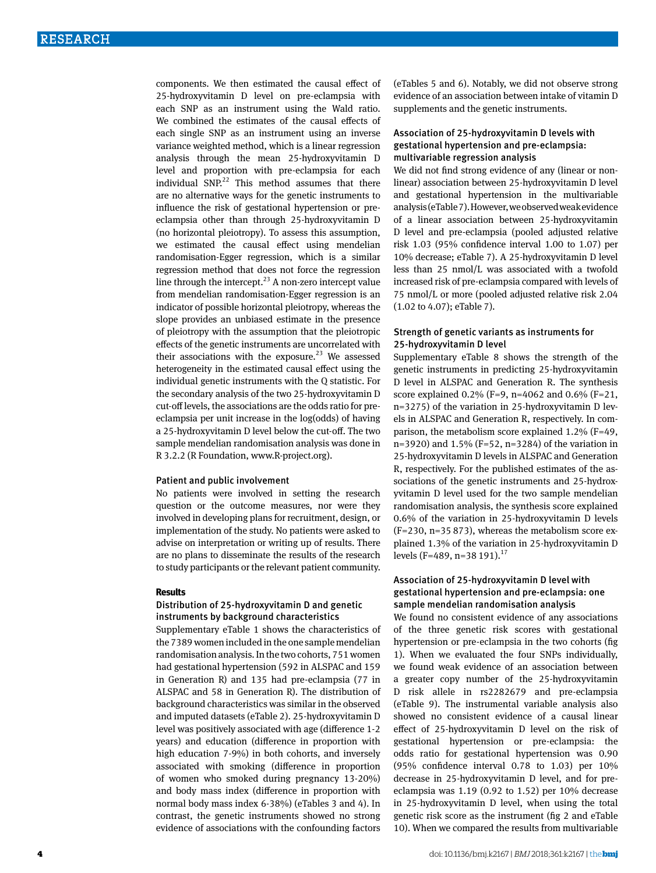components. We then estimated the causal effect of 25-hydroxyvitamin D level on pre-eclampsia with each SNP as an instrument using the Wald ratio. We combined the estimates of the causal effects of each single SNP as an instrument using an inverse variance weighted method, which is a linear regression analysis through the mean 25-hydroxyvitamin D level and proportion with pre-eclampsia for each individual SNP. $^{22}$  This method assumes that there are no alternative ways for the genetic instruments to influence the risk of gestational hypertension or preeclampsia other than through 25-hydroxyvitamin D (no horizontal pleiotropy). To assess this assumption, we estimated the causal effect using mendelian randomisation-Egger regression, which is a similar regression method that does not force the regression line through the intercept. $^{23}$  A non-zero intercept value from mendelian randomisation-Egger regression is an indicator of possible horizontal pleiotropy, whereas the slope provides an unbiased estimate in the presence of pleiotropy with the assumption that the pleiotropic effects of the genetic instruments are uncorrelated with their associations with the exposure.<sup>23</sup> We assessed heterogeneity in the estimated causal effect using the individual genetic instruments with the Q statistic. For the secondary analysis of the two 25-hydroxyvitamin D cut-off levels, the associations are the odds ratio for preeclampsia per unit increase in the log(odds) of having a 25-hydroxyvitamin D level below the cut-off. The two sample mendelian randomisation analysis was done in R 3.2.2 (R Foundation, [www.R-project.org\)](file:///C:\\\\Users\\\\EPayne\\\\AppData\\\\Roaming\\\\Microsoft\\\\Word\\\\www.R-project.org).

#### Patient and public involvement

No patients were involved in setting the research question or the outcome measures, nor were they involved in developing plans for recruitment, design, or implementation of the study. No patients were asked to advise on interpretation or writing up of results. There are no plans to disseminate the results of the research to study participants or the relevant patient community.

#### **Results**

## Distribution of 25-hydroxyvitamin D and genetic instruments by background characteristics

Supplementary eTable 1 shows the characteristics of the 7389 women included in the one sample mendelian randomisation analysis. In the two cohorts, 751 women had gestational hypertension (592 in ALSPAC and 159 in Generation R) and 135 had pre-eclampsia (77 in ALSPAC and 58 in Generation R). The distribution of background characteristics was similar in the observed and imputed datasets (eTable 2). 25-hydroxyvitamin D level was positively associated with age (difference 1-2 years) and education (difference in proportion with high education 7-9%) in both cohorts, and inversely associated with smoking (difference in proportion of women who smoked during pregnancy 13-20%) and body mass index (difference in proportion with normal body mass index 6-38%) (eTables 3 and 4). In contrast, the genetic instruments showed no strong evidence of associations with the confounding factors

(eTables 5 and 6). Notably, we did not observe strong evidence of an association between intake of vitamin D supplements and the genetic instruments.

## Association of 25-hydroxyvitamin D levels with gestational hypertension and pre-eclampsia: multivariable regression analysis

We did not find strong evidence of any (linear or nonlinear) association between 25-hydroxyvitamin D level and gestational hypertension in the multivariable analysis (eTable 7). However, we observed weak evidence of a linear association between 25-hydroxyvitamin D level and pre-eclampsia (pooled adjusted relative risk 1.03 (95% confidence interval 1.00 to 1.07) per 10% decrease; eTable 7). A 25-hydroxyvitamin D level less than 25 nmol/L was associated with a twofold increased risk of pre-eclampsia compared with levels of 75 nmol/L or more (pooled adjusted relative risk 2.04 (1.02 to 4.07); eTable 7).

## Strength of genetic variants as instruments for 25-hydroxyvitamin D level

Supplementary eTable 8 shows the strength of the genetic instruments in predicting 25-hydroxyvitamin D level in ALSPAC and Generation R. The synthesis score explained 0.2% (F=9, n=4062 and 0.6% (F=21, n=3275) of the variation in 25-hydroxyvitamin D levels in ALSPAC and Generation R, respectively. In comparison, the metabolism score explained 1.2% (F=49, n=3920) and 1.5% (F=52, n=3284) of the variation in 25-hydroxyvitamin D levels in ALSPAC and Generation R, respectively. For the published estimates of the associations of the genetic instruments and 25-hydroxyvitamin D level used for the two sample mendelian randomisation analysis, the synthesis score explained 0.6% of the variation in 25-hydroxyvitamin D levels (F=230, n=35 873), whereas the metabolism score explained 1.3% of the variation in 25-hydroxyvitamin D levels (F=489, n=38 191).<sup>17</sup>

## Association of 25-hydroxyvitamin D level with gestational hypertension and pre-eclampsia: one sample mendelian randomisation analysis

We found no consistent evidence of any associations of the three genetic risk scores with gestational hypertension or pre-eclampsia in the two cohorts (fig 1). When we evaluated the four SNPs individually, we found weak evidence of an association between a greater copy number of the 25-hydroxyvitamin D risk allele in rs2282679 and pre-eclampsia (eTable 9). The instrumental variable analysis also showed no consistent evidence of a causal linear effect of 25-hydroxyvitamin D level on the risk of gestational hypertension or pre-eclampsia: the odds ratio for gestational hypertension was 0.90 (95% confidence interval 0.78 to 1.03) per 10% decrease in 25-hydroxyvitamin D level, and for preeclampsia was 1.19 (0.92 to 1.52) per 10% decrease in 25-hydroxyvitamin D level, when using the total genetic risk score as the instrument (fig 2 and eTable 10). When we compared the results from multivariable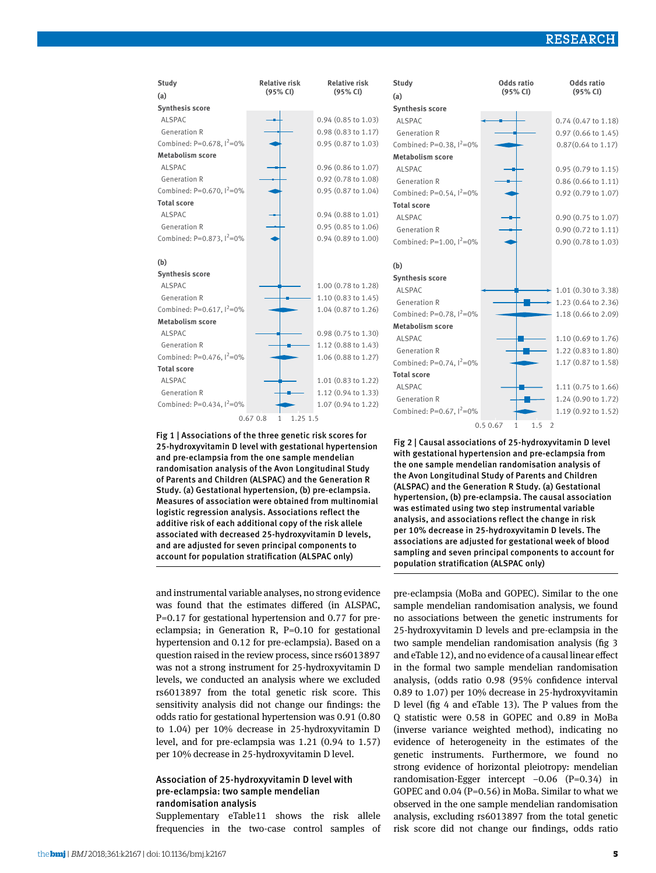## RESEARCH

| Study                                 | <b>Relative risk</b>                | <b>Relative risk</b>      | Study                       | Odds ratio               | Odds ratio                    |
|---------------------------------------|-------------------------------------|---------------------------|-----------------------------|--------------------------|-------------------------------|
| (a)                                   | (95% CI)                            | (95% CI)                  | (a)                         | (95% CI)                 | (95% CI)                      |
| <b>Synthesis score</b>                |                                     |                           | <b>Synthesis score</b>      |                          |                               |
| <b>ALSPAC</b>                         |                                     | 0.94 (0.85 to 1.03)       | <b>ALSPAC</b>               |                          | 0.74 (0.47 to 1.18)           |
| <b>Generation R</b>                   |                                     | 0.98 (0.83 to 1.17)       | <b>Generation R</b>         |                          | 0.97 (0.66 to 1.45)           |
| Combined: P=0.678, $1^2$ =0%          |                                     | $0.95$ $(0.87$ to $1.03)$ | Combined: P=0.38, $1^2$ =0% |                          | $0.87(0.64 \text{ to } 1.17)$ |
| <b>Metabolism score</b>               |                                     |                           | <b>Metabolism score</b>     |                          |                               |
| <b>ALSPAC</b>                         |                                     | $0.96$ (0.86 to 1.07)     | <b>ALSPAC</b>               |                          | 0.95 (0.79 to 1.15)           |
| <b>Generation R</b>                   |                                     | 0.92 (0.78 to 1.08)       | <b>Generation R</b>         |                          | 0.86 (0.66 to 1.11)           |
| Combined: P=0.670, $1^2$ =0%          |                                     | 0.95 (0.87 to 1.04)       | Combined: P=0.54, $1^2$ =0% |                          | 0.92 (0.79 to 1.07)           |
| <b>Total score</b>                    |                                     |                           | <b>Total score</b>          |                          |                               |
| <b>ALSPAC</b>                         |                                     | $0.94$ $(0.88$ to $1.01)$ | ALSPAC                      |                          | 0.90 (0.75 to 1.07)           |
| <b>Generation R</b>                   |                                     | 0.95 (0.85 to 1.06)       | <b>Generation R</b>         |                          | 0.90 (0.72 to 1.11)           |
| Combined: P=0.873, $1^2$ =0%          |                                     | 0.94 (0.89 to 1.00)       | Combined: P=1.00, $1^2$ =0% |                          | 0.90 (0.78 to 1.03)           |
| (b)                                   |                                     |                           | (b)                         |                          |                               |
| <b>Synthesis score</b>                |                                     |                           | <b>Synthesis score</b>      |                          |                               |
| <b>ALSPAC</b>                         |                                     | 1.00 (0.78 to 1.28)       | <b>ALSPAC</b>               |                          | 1.01 (0.30 to 3.38)           |
| <b>Generation R</b>                   |                                     | 1.10 (0.83 to 1.45)       | <b>Generation R</b>         |                          | 1.23 (0.64 to 2.36)           |
| Combined: P=0.617, $1^2$ =0%          |                                     | 1.04 (0.87 to 1.26)       | Combined: P=0.78, $1^2$ =0% |                          | 1.18 (0.66 to 2.09)           |
| <b>Metabolism score</b>               |                                     |                           | <b>Metabolism score</b>     |                          |                               |
| <b>ALSPAC</b>                         |                                     | 0.98 (0.75 to 1.30)       | ALSPAC                      |                          | 1.10 (0.69 to 1.76)           |
| <b>Generation R</b>                   |                                     | 1.12 (0.88 to 1.43)       | <b>Generation R</b>         |                          | 1.22 (0.83 to 1.80)           |
| Combined: P=0.476, l <sup>2</sup> =0% |                                     | 1.06 (0.88 to 1.27)       | Combined: P=0.74, $1^2$ =0% |                          | 1.17 (0.87 to 1.58)           |
| <b>Total score</b>                    |                                     |                           | <b>Total score</b>          |                          |                               |
| ALSPAC                                |                                     | 1.01 (0.83 to 1.22)       | ALSPAC                      |                          | 1.11 (0.75 to 1.66)           |
| <b>Generation R</b>                   |                                     | 1.12 (0.94 to 1.33)       | <b>Generation R</b>         |                          | 1.24 (0.90 to 1.72)           |
| Combined: P=0.434, l <sup>2</sup> =0% |                                     | 1.07 (0.94 to 1.22)       | Combined: P=0.67, $1^2$ =0% |                          | 1.19 (0.92 to 1.52)           |
|                                       | 1.25 1.5<br>0.670.8<br>$\mathbf{1}$ |                           |                             | 0.50.67<br>$1.5 \quad 2$ |                               |

Fig 1 | Associations of the three genetic risk scores for 25-hydroxyvitamin D level with gestational hypertension and pre-eclampsia from the one sample mendelian randomisation analysis of the Avon Longitudinal Study of Parents and Children (ALSPAC) and the Generation R Study. (a) Gestational hypertension, (b) pre-eclampsia. Measures of association were obtained from multinomial logistic regression analysis. Associations reflect the additive risk of each additional copy of the risk allele associated with decreased 25-hydroxyvitamin D levels, and are adjusted for seven principal components to account for population stratification (ALSPAC only)

and instrumental variable analyses, no strong evidence was found that the estimates differed (in ALSPAC, P=0.17 for gestational hypertension and 0.77 for preeclampsia; in Generation R, P=0.10 for gestational hypertension and 0.12 for pre-eclampsia). Based on a question raised in the review process, since rs6013897 was not a strong instrument for 25-hydroxyvitamin D levels, we conducted an analysis where we excluded rs6013897 from the total genetic risk score. This sensitivity analysis did not change our findings: the odds ratio for gestational hypertension was 0.91 (0.80 to 1.04) per 10% decrease in 25-hydroxyvitamin D level, and for pre-eclampsia was 1.21 (0.94 to 1.57) per 10% decrease in 25-hydroxyvitamin D level.

## Association of 25-hydroxyvitamin D level with pre-eclampsia: two sample mendelian randomisation analysis

Supplementary eTable11 shows the risk allele frequencies in the two-case control samples of Fig 2 | Causal associations of 25-hydroxyvitamin D level with gestational hypertension and pre-eclampsia from the one sample mendelian randomisation analysis of the Avon Longitudinal Study of Parents and Children (ALSPAC) and the Generation R Study. (a) Gestational hypertension, (b) pre-eclampsia. The causal association was estimated using two step instrumental variable analysis, and associations reflect the change in risk per 10% decrease in 25-hydroxyvitamin D levels. The associations are adjusted for gestational week of blood sampling and seven principal components to account for population stratification (ALSPAC only)

pre-eclampsia (MoBa and GOPEC). Similar to the one sample mendelian randomisation analysis, we found no associations between the genetic instruments for 25-hydroxyvitamin D levels and pre-eclampsia in the two sample mendelian randomisation analysis (fig 3 and eTable 12), and no evidence of a causal linear effect in the formal two sample mendelian randomisation analysis, (odds ratio 0.98 (95% confidence interval 0.89 to 1.07) per 10% decrease in 25-hydroxyvitamin D level (fig 4 and eTable 13). The P values from the Q statistic were 0.58 in GOPEC and 0.89 in MoBa (inverse variance weighted method), indicating no evidence of heterogeneity in the estimates of the genetic instruments. Furthermore, we found no strong evidence of horizontal pleiotropy: mendelian randomisation-Egger intercept −0.06 (P=0.34) in GOPEC and 0.04 (P=0.56) in MoBa. Similar to what we observed in the one sample mendelian randomisation analysis, excluding rs6013897 from the total genetic risk score did not change our findings, odds ratio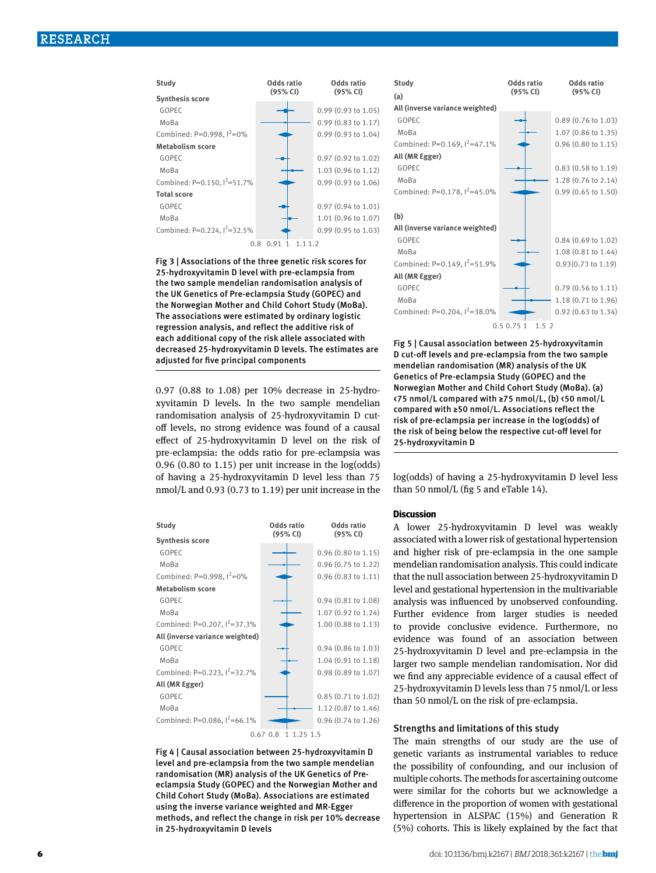

Fig 3 | Associations of the three genetic risk scores for 25-hydroxyvitamin D level with pre-eclampsia from the two sample mendelian randomisation analysis of the UK Genetics of Pre-eclampsia Study (GOPEC) and the Norwegian Mother and Child Cohort Study (MoBa). The associations were estimated by ordinary logistic regression analysis, and reflect the additive risk of each additional copy of the risk allele associated with decreased 25-hydroxyvitamin D levels. The estimates are adjusted for five principal components

0.97 (0.88 to 1.08) per 10% decrease in 25-hydroxyvitamin D levels. In the two sample mendelian randomisation analysis of 25-hydroxyvitamin D cutoff levels, no strong evidence was found of a causal effect of 25-hydroxyvitamin D level on the risk of pre-eclampsia: the odds ratio for pre-eclampsia was 0.96 (0.80 to 1.15) per unit increase in the log(odds) of having a 25-hydroxyvitamin D level less than 75 nmol/L and 0.93 (0.73 to 1.19) per unit increase in the







Fig 5 | Causal association between 25-hydroxyvitamin D cut-off levels and pre-eclampsia from the two sample mendelian randomisation (MR) analysis of the UK Genetics of Pre-eclampsia Study (GOPEC) and the Norwegian Mother and Child Cohort Study (MoBa). (a) <75 nmol/L compared with ≥75 nmol/L, (b) <50 nmol/L compared with ≥50 nmol/L. Associations reflect the risk of pre-eclampsia per increase in the log(odds) of the risk of being below the respective cut-off level for 25-hydroxyvitamin D

log(odds) of having a 25-hydroxyvitamin D level less than 50 nmol/L (fig 5 and eTable 14).

#### **Discussion**

A lower 25-hydroxyvitamin D level was weakly associated with a lower risk of gestational hypertension and higher risk of pre-eclampsia in the one sample mendelian randomisation analysis. This could indicate that the null association between 25-hydroxyvitamin D level and gestational hypertension in the multivariable analysis was influenced by unobserved confounding. Further evidence from larger studies is needed to provide conclusive evidence. Furthermore, no evidence was found of an association between 25-hydroxyvitamin D level and pre-eclampsia in the larger two sample mendelian randomisation. Nor did we find any appreciable evidence of a causal effect of 25-hydroxyvitamin D levels less than 75 nmol/L or less than 50 nmol/L on the risk of pre-eclampsia.

#### Strengths and limitations of this study

The main strengths of our study are the use of genetic variants as instrumental variables to reduce the possibility of confounding, and our inclusion of multiple cohorts. The methods for ascertaining outcome were similar for the cohorts but we acknowledge a difference in the proportion of women with gestational hypertension in ALSPAC (15%) and Generation R (5%) cohorts. This is likely explained by the fact that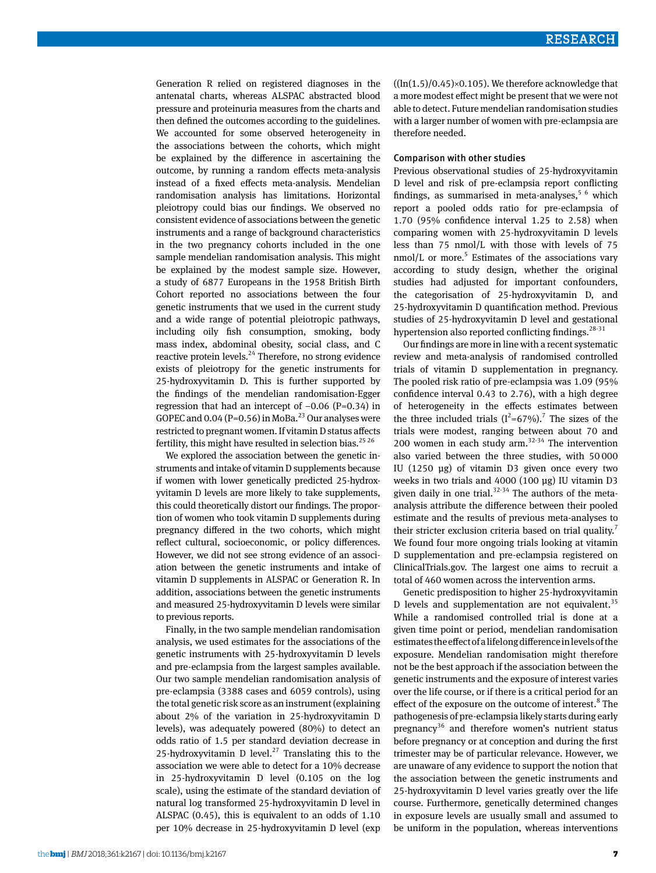Generation R relied on registered diagnoses in the antenatal charts, whereas ALSPAC abstracted blood pressure and proteinuria measures from the charts and then defined the outcomes according to the guidelines. We accounted for some observed heterogeneity in the associations between the cohorts, which might be explained by the difference in ascertaining the outcome, by running a random effects meta-analysis instead of a fixed effects meta-analysis. Mendelian randomisation analysis has limitations. Horizontal pleiotropy could bias our findings. We observed no consistent evidence of associations between the genetic instruments and a range of background characteristics in the two pregnancy cohorts included in the one sample mendelian randomisation analysis. This might be explained by the modest sample size. However, a study of 6877 Europeans in the 1958 British Birth Cohort reported no associations between the four genetic instruments that we used in the current study and a wide range of potential pleiotropic pathways, including oily fish consumption, smoking, body mass index, abdominal obesity, social class, and C reactive protein levels.<sup>24</sup> Therefore, no strong evidence exists of pleiotropy for the genetic instruments for 25-hydroxyvitamin D. This is further supported by the findings of the mendelian randomisation-Egger regression that had an intercept of −0.06 (P=0.34) in GOPEC and 0.04 (P=0.56) in MoBa.<sup>23</sup> Our analyses were restricted to pregnant women. If vitamin D status affects fertility, this might have resulted in selection bias.<sup>25 26</sup>

We explored the association between the genetic instruments and intake of vitamin D supplements because if women with lower genetically predicted 25-hydroxyvitamin D levels are more likely to take supplements, this could theoretically distort our findings. The proportion of women who took vitamin D supplements during pregnancy differed in the two cohorts, which might reflect cultural, socioeconomic, or policy differences. However, we did not see strong evidence of an association between the genetic instruments and intake of vitamin D supplements in ALSPAC or Generation R. In addition, associations between the genetic instruments and measured 25-hydroxyvitamin D levels were similar to previous reports.

Finally, in the two sample mendelian randomisation analysis, we used estimates for the associations of the genetic instruments with 25-hydroxyvitamin D levels and pre-eclampsia from the largest samples available. Our two sample mendelian randomisation analysis of pre-eclampsia (3388 cases and 6059 controls), using the total genetic risk score as an instrument (explaining about 2% of the variation in 25-hydroxyvitamin D levels), was adequately powered (80%) to detect an odds ratio of 1.5 per standard deviation decrease in 25-hydroxyvitamin D level.<sup>27</sup> Translating this to the association we were able to detect for a 10% decrease in 25-hydroxyvitamin D level (0.105 on the log scale), using the estimate of the standard deviation of natural log transformed 25-hydroxyvitamin D level in ALSPAC (0.45), this is equivalent to an odds of 1.10 per 10% decrease in 25-hydroxyvitamin D level (exp  $((ln(1.5)/0.45) \times 0.105)$ . We therefore acknowledge that a more modest effect might be present that we were not able to detect. Future mendelian randomisation studies with a larger number of women with pre-eclampsia are therefore needed.

#### Comparison with other studies

Previous observational studies of 25-hydroxyvitamin D level and risk of pre-eclampsia report conflicting findings, as summarised in meta-analyses,  $5/6$  which report a pooled odds ratio for pre-eclampsia of 1.70 (95% confidence interval 1.25 to 2.58) when comparing women with 25-hydroxyvitamin D levels less than 75 nmol/L with those with levels of 75  $nmol/L$  or more.<sup>5</sup> Estimates of the associations vary according to study design, whether the original studies had adjusted for important confounders, the categorisation of 25-hydroxyvitamin D, and 25-hydroxyvitamin D quantification method. Previous studies of 25-hydroxyvitamin D level and gestational hypertension also reported conflicting findings.<sup>28-31</sup>

Our findings are more in line with a recent systematic review and meta-analysis of randomised controlled trials of vitamin D supplementation in pregnancy. The pooled risk ratio of pre-eclampsia was 1.09 (95% confidence interval 0.43 to 2.76), with a high degree of heterogeneity in the effects estimates between the three included trials  $(I^2=67\%)$ .<sup>7</sup> The sizes of the trials were modest, ranging between about 70 and 200 women in each study arm. $32-34$  The intervention also varied between the three studies, with 50 000 IU (1250 µg) of vitamin D3 given once every two weeks in two trials and 4000 (100 µg) IU vitamin D3 given daily in one trial. $32-34$  The authors of the metaanalysis attribute the difference between their pooled estimate and the results of previous meta-analyses to their stricter exclusion criteria based on trial quality.<sup>7</sup> We found four more ongoing trials looking at vitamin D supplementation and pre-eclampsia registered on ClinicalTrials.gov. The largest one aims to recruit a total of 460 women across the intervention arms.

Genetic predisposition to higher 25-hydroxyvitamin D levels and supplementation are not equivalent.<sup>35</sup> While a randomised controlled trial is done at a given time point or period, mendelian randomisation estimates the effect of a lifelong difference in levels of the exposure. Mendelian randomisation might therefore not be the best approach if the association between the genetic instruments and the exposure of interest varies over the life course, or if there is a critical period for an effect of the exposure on the outcome of interest.<sup>8</sup> The pathogenesis of pre-eclampsia likely starts during early pregnancy<sup>36</sup> and therefore women's nutrient status before pregnancy or at conception and during the first trimester may be of particular relevance. However, we are unaware of any evidence to support the notion that the association between the genetic instruments and 25-hydroxyvitamin D level varies greatly over the life course. Furthermore, genetically determined changes in exposure levels are usually small and assumed to be uniform in the population, whereas interventions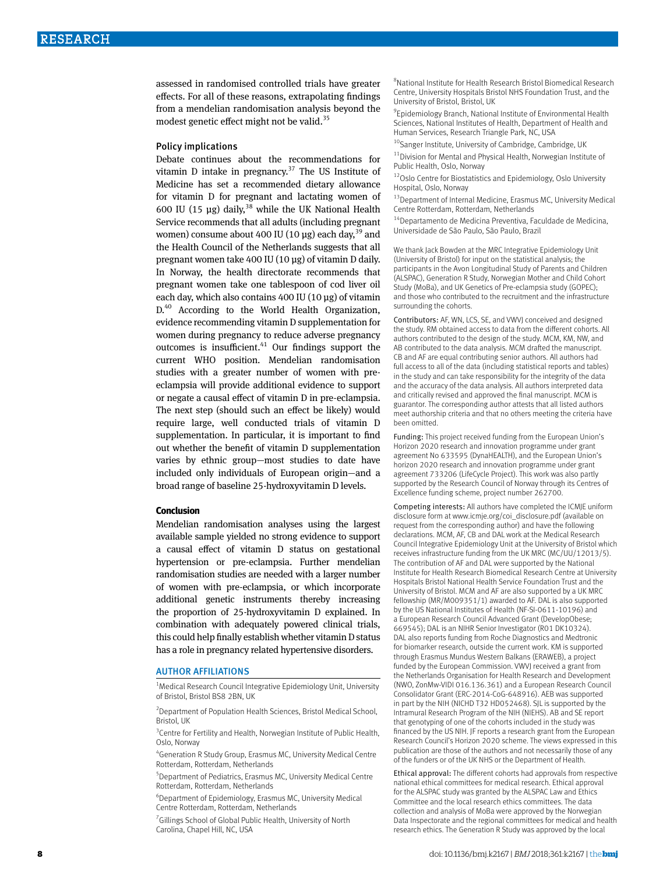assessed in randomised controlled trials have greater effects. For all of these reasons, extrapolating findings from a mendelian randomisation analysis beyond the modest genetic effect might not be valid.<sup>35</sup>

#### Policy implications

Debate continues about the recommendations for vitamin D intake in pregnancy.<sup>37</sup> The US Institute of Medicine has set a recommended dietary allowance for vitamin D for pregnant and lactating women of 600 IU (15 µg) daily,<sup>38</sup> while the UK National Health Service recommends that all adults (including pregnant women) consume about 400 IU (10  $\mu$ g) each day, <sup>39</sup> and the Health Council of the Netherlands suggests that all pregnant women take 400 IU (10 µg) of vitamin D daily. In Norway, the health directorate recommends that pregnant women take one tablespoon of cod liver oil each day, which also contains 400 IU (10 µg) of vitamin D.<sup>40</sup> According to the World Health Organization, evidence recommending vitamin D supplementation for women during pregnancy to reduce adverse pregnancy outcomes is insufficient.<sup>41</sup> Our findings support the current WHO position. Mendelian randomisation studies with a greater number of women with preeclampsia will provide additional evidence to support or negate a causal effect of vitamin D in pre-eclampsia. The next step (should such an effect be likely) would require large, well conducted trials of vitamin D supplementation. In particular, it is important to find out whether the benefit of vitamin D supplementation varies by ethnic group—most studies to date have included only individuals of European origin—and a broad range of baseline 25-hydroxyvitamin D levels.

#### **Conclusion**

Mendelian randomisation analyses using the largest available sample yielded no strong evidence to support a causal effect of vitamin D status on gestational hypertension or pre-eclampsia. Further mendelian randomisation studies are needed with a larger number of women with pre-eclampsia, or which incorporate additional genetic instruments thereby increasing the proportion of 25-hydroxyvitamin D explained. In combination with adequately powered clinical trials, this could help finally establish whether vitamin D status has a role in pregnancy related hypertensive disorders.

#### AUTHOR AFFILIATIONS

<sup>1</sup>Medical Research Council Integrative Epidemiology Unit, University of Bristol, Bristol BS8 2BN, UK

<sup>2</sup> Department of Population Health Sciences, Bristol Medical School, Bristol, UK

<sup>3</sup> Centre for Fertility and Health, Norwegian Institute of Public Health, Oslo, Norway

4 Generation R Study Group, Erasmus MC, University Medical Centre Rotterdam, Rotterdam, Netherlands

5 Department of Pediatrics, Erasmus MC, University Medical Centre Rotterdam, Rotterdam, Netherlands

6 Department of Epidemiology, Erasmus MC, University Medical Centre Rotterdam, Rotterdam, Netherlands

<sup>7</sup> Gillings School of Global Public Health, University of North Carolina, Chapel Hill, NC, USA

8 National Institute for Health Research Bristol Biomedical Research Centre, University Hospitals Bristol NHS Foundation Trust, and the University of Bristol, Bristol, UK

9 Epidemiology Branch, National Institute of Environmental Health Sciences, National Institutes of Health, Department of Health and Human Services, Research Triangle Park, NC, USA

<sup>10</sup>Sanger Institute, University of Cambridge, Cambridge, UK

 $11$ Division for Mental and Physical Health, Norwegian Institute of Public Health, Oslo, Norway

<sup>12</sup>Oslo Centre for Biostatistics and Epidemiology, Oslo University Hospital, Oslo, Norway

13 Department of Internal Medicine, Erasmus MC, University Medical Centre Rotterdam, Rotterdam, Netherlands

14Departamento de Medicina Preventiva, Faculdade de Medicina, Universidade de São Paulo, São Paulo, Brazil

We thank Jack Bowden at the MRC Integrative Epidemiology Unit (University of Bristol) for input on the statistical analysis; the participants in the Avon Longitudinal Study of Parents and Children (ALSPAC), Generation R Study, Norwegian Mother and Child Cohort Study (MoBa), and UK Genetics of Pre-eclampsia study (GOPEC); and those who contributed to the recruitment and the infrastructure surrounding the cohorts.

Contributors: AF, WN, LCS, SE, and VWVJ conceived and designed the study. RM obtained access to data from the different cohorts. All authors contributed to the design of the study. MCM, KM, NW, and AB contributed to the data analysis. MCM drafted the manuscript. CB and AF are equal contributing senior authors. All authors had full access to all of the data (including statistical reports and tables) in the study and can take responsibility for the integrity of the data and the accuracy of the data analysis. All authors interpreted data and critically revised and approved the final manuscript. MCM is guarantor. The corresponding author attests that all listed authors meet authorship criteria and that no others meeting the criteria have been omitted.

Funding: This project received funding from the European Union's Horizon 2020 research and innovation programme under grant agreement No 633595 (DynaHEALTH), and the European Union's horizon 2020 research and innovation programme under grant agreement 733206 (LifeCycle Project). This work was also partly supported by the Research Council of Norway through its Centres of Excellence funding scheme, project number 262700.

Competing interests: All authors have completed the ICMJE uniform disclosure form at [www.icmje.org/coi\\_disclosure.pdf](http://www.icmje.org/coi_disclosure.pdf) (available on request from the corresponding author) and have the following declarations. MCM, AF, CB and DAL work at the Medical Research Council Integrative Epidemiology Unit at the University of Bristol which receives infrastructure funding from the UK MRC (MC/UU/12013/5). The contribution of AF and DAL were supported by the National Institute for Health Research Biomedical Research Centre at University Hospitals Bristol National Health Service Foundation Trust and the University of Bristol. MCM and AF are also supported by a UK MRC fellowship (MR/M009351/1) awarded to AF. DAL is also supported by the US National Institutes of Health (NF-SI-0611-10196) and a European Research Council Advanced Grant (DevelopObese; 669545); DAL is an NIHR Senior Investigator (R01 DK10324). DAL also reports funding from Roche Diagnostics and Medtronic for biomarker research, outside the current work. KM is supported through Erasmus Mundus Western Balkans (ERAWEB), a project funded by the European Commission. VWVJ received a grant from the Netherlands Organisation for Health Research and Development (NWO, ZonMw-VIDI 016.136.361) and a European Research Council Consolidator Grant (ERC-2014-CoG-648916). AEB was supported in part by the NIH (NICHD T32 HD052468). SJL is supported by the Intramural Research Program of the NIH (NIEHS). AB and SE report that genotyping of one of the cohorts included in the study was financed by the US NIH. JF reports a research grant from the European Research Council's Horizon 2020 scheme. The views expressed in this publication are those of the authors and not necessarily those of any of the funders or of the UK NHS or the Department of Health.

Ethical approval: The different cohorts had approvals from respective national ethical committees for medical research. Ethical approval for the ALSPAC study was granted by the ALSPAC Law and Ethics Committee and the local research ethics committees. The data collection and analysis of MoBa were approved by the Norwegian Data Inspectorate and the regional committees for medical and health research ethics. The Generation R Study was approved by the local